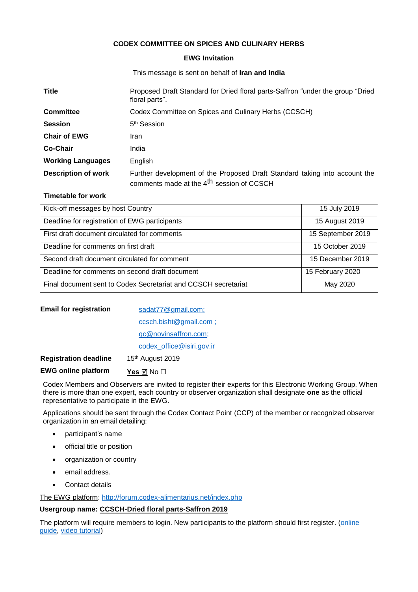# **CODEX COMMITTEE ON SPICES AND CULINARY HERBS**

#### **EWG Invitation**

This message is sent on behalf of **Iran and India**

| <b>Title</b>               | Proposed Draft Standard for Dried floral parts-Saffron "under the group "Dried<br>floral parts".                                    |  |
|----------------------------|-------------------------------------------------------------------------------------------------------------------------------------|--|
| <b>Committee</b>           | Codex Committee on Spices and Culinary Herbs (CCSCH)                                                                                |  |
| <b>Session</b>             | 5 <sup>th</sup> Session                                                                                                             |  |
| <b>Chair of EWG</b>        | Iran                                                                                                                                |  |
| Co-Chair                   | India                                                                                                                               |  |
| <b>Working Languages</b>   | English                                                                                                                             |  |
| <b>Description of work</b> | Further development of the Proposed Draft Standard taking into account the<br>comments made at the 4 <sup>th</sup> session of CCSCH |  |

### **Timetable for work**

| Kick-off messages by host Country                              | 15 July 2019      |
|----------------------------------------------------------------|-------------------|
| Deadline for registration of EWG participants                  | 15 August 2019    |
| First draft document circulated for comments                   | 15 September 2019 |
| Deadline for comments on first draft                           | 15 October 2019   |
| Second draft document circulated for comment                   | 15 December 2019  |
| Deadline for comments on second draft document                 | 15 February 2020  |
| Final document sent to Codex Secretariat and CCSCH secretariat | May 2020          |

| <b>Email for registration</b> | sadat77@gmail.com;        |
|-------------------------------|---------------------------|
|                               | ccsch.bisht@gmail.com;    |
|                               | qc@novinsaffron.com;      |
|                               | codex office@isiri.gov.ir |
| <b>Registration deadline</b>  | 15th August 2019          |

**EWG online platform Yes** ⊠ No □

Codex Members and Observers are invited to register their experts for this Electronic Working Group. When there is more than one expert, each country or observer organization shall designate **one** as the official representative to participate in the EWG.

Applications should be sent through the Codex Contact Point (CCP) of the member or recognized observer organization in an email detailing:

- participant's name
- official title or position
- organization or country
- email address.
- Contact details

The EWG platform:<http://forum.codex-alimentarius.net/index.php>

## **Usergroup name: CCSCH-Dried floral parts-Saffron 2019**

The platform will require members to login. New participants to the platform should first register. (online [guide,](http://forum.codex-alimentarius.net/viewtopic.php?f=13&t=11) [video tutorial\)](https://youtu.be/EJn9k7wNSwk)